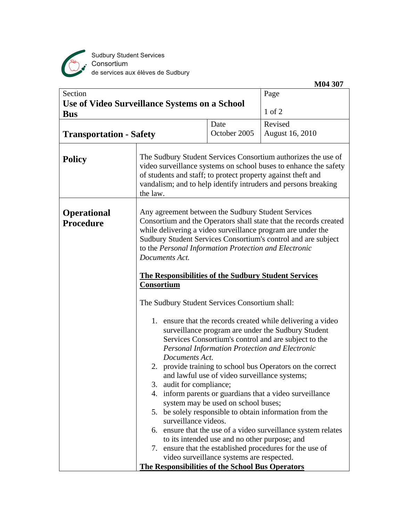

Sudbury Student Services<br>Consortium<br>de services aux élèves de Sudbury

|                                                                               |                                                                                                                                                                                                                                                                                 |                                                                                                                                                                                                                                                                                                                                                                                                                                                                                                                                                                                                                                                                                                                                                                                                                                                                                                                                                                                                                                                                                | M04 307                                                  |  |
|-------------------------------------------------------------------------------|---------------------------------------------------------------------------------------------------------------------------------------------------------------------------------------------------------------------------------------------------------------------------------|--------------------------------------------------------------------------------------------------------------------------------------------------------------------------------------------------------------------------------------------------------------------------------------------------------------------------------------------------------------------------------------------------------------------------------------------------------------------------------------------------------------------------------------------------------------------------------------------------------------------------------------------------------------------------------------------------------------------------------------------------------------------------------------------------------------------------------------------------------------------------------------------------------------------------------------------------------------------------------------------------------------------------------------------------------------------------------|----------------------------------------------------------|--|
| Section<br><b>Use of Video Surveillance Systems on a School</b><br><b>Bus</b> |                                                                                                                                                                                                                                                                                 |                                                                                                                                                                                                                                                                                                                                                                                                                                                                                                                                                                                                                                                                                                                                                                                                                                                                                                                                                                                                                                                                                | Page<br>$1$ of $2$                                       |  |
| <b>Transportation - Safety</b>                                                |                                                                                                                                                                                                                                                                                 | Date<br>October 2005                                                                                                                                                                                                                                                                                                                                                                                                                                                                                                                                                                                                                                                                                                                                                                                                                                                                                                                                                                                                                                                           | Revised<br><b>August 16, 2010</b>                        |  |
| <b>Policy</b>                                                                 | The Sudbury Student Services Consortium authorizes the use of<br>video surveillance systems on school buses to enhance the safety<br>of students and staff; to protect property against theft and<br>vandalism; and to help identify intruders and persons breaking<br>the law. |                                                                                                                                                                                                                                                                                                                                                                                                                                                                                                                                                                                                                                                                                                                                                                                                                                                                                                                                                                                                                                                                                |                                                          |  |
| <b>Operational</b><br><b>Procedure</b>                                        | Documents Act.<br>Consortium<br>3.<br>5.<br>to its intended use and no other purpose; and                                                                                                                                                                                       | Any agreement between the Sudbury Student Services<br>Consortium and the Operators shall state that the records created<br>while delivering a video surveillance program are under the<br>Sudbury Student Services Consortium's control and are subject<br>to the Personal Information Protection and Electronic<br><b>The Responsibilities of the Sudbury Student Services</b><br>The Sudbury Student Services Consortium shall:<br>1. ensure that the records created while delivering a video<br>surveillance program are under the Sudbury Student<br>Services Consortium's control and are subject to the<br>Personal Information Protection and Electronic<br>Documents Act.<br>2. provide training to school bus Operators on the correct<br>and lawful use of video surveillance systems;<br>audit for compliance;<br>4. inform parents or guardians that a video surveillance<br>system may be used on school buses;<br>be solely responsible to obtain information from the<br>surveillance videos.<br>6. ensure that the use of a video surveillance system relates |                                                          |  |
|                                                                               | <b>The Responsibilities of the School Bus Operators</b>                                                                                                                                                                                                                         | video surveillance systems are respected.                                                                                                                                                                                                                                                                                                                                                                                                                                                                                                                                                                                                                                                                                                                                                                                                                                                                                                                                                                                                                                      | 7. ensure that the established procedures for the use of |  |